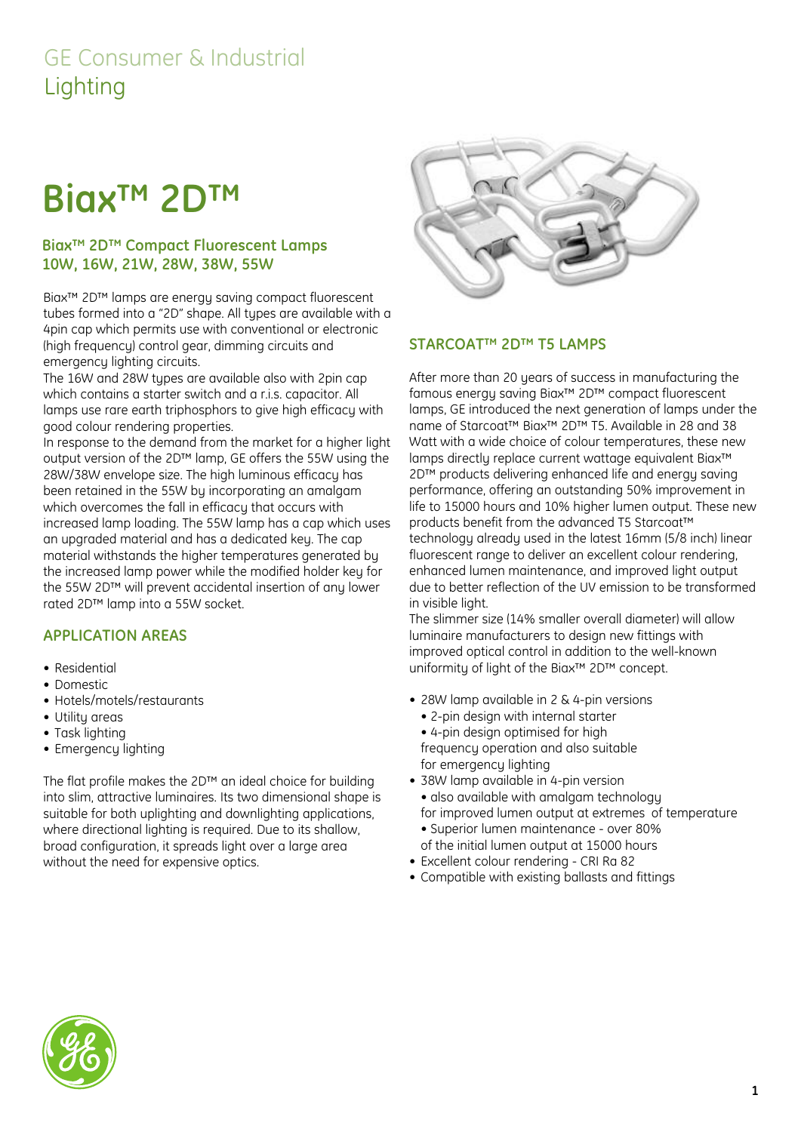## GE Consumer & Industrial Lighting

# **Biax™ 2D™**

#### **Biax™ 2D™ Compact Fluorescent Lamps 10W, 16W, 21W, 28W, 38W, 55W**

Biax™ 2D™ lamps are energy saving compact fluorescent tubes formed into a "2D" shape. All types are available with a 4pin cap which permits use with conventional or electronic (high frequency) control gear, dimming circuits and emergency lighting circuits.

The 16W and 28W types are available also with 2pin cap which contains a starter switch and a r.i.s. capacitor. All lamps use rare earth triphosphors to give high efficacy with good colour rendering properties.

In response to the demand from the market for a higher light output version of the 2D™ lamp, GE offers the 55W using the 28W/38W envelope size. The high luminous efficacy has been retained in the 55W by incorporating an amalgam which overcomes the fall in efficacy that occurs with increased lamp loading. The 55W lamp has a cap which uses an upgraded material and has a dedicated key. The cap material withstands the higher temperatures generated by the increased lamp power while the modified holder key for the 55W 2D™ will prevent accidental insertion of any lower rated 2D™ lamp into a 55W socket.

#### **APPLICATION AREAS**

- Residential
- Domestic
- Hotels/motels/restaurants
- Utilitu areas
- Task lighting
- Emergency lighting

The flat profile makes the 2D™ an ideal choice for building into slim, attractive luminaires. Its two dimensional shape is suitable for both uplighting and downlighting applications, where directional lighting is required. Due to its shallow, broad configuration, it spreads light over a large area without the need for expensive optics.



#### **STARCOAT™ 2D™ T5 LAMPS**

After more than 20 years of success in manufacturing the famous energy saving Biax™ 2D™ compact fluorescent lamps, GE introduced the next generation of lamps under the name of Starcoat™ Biax™ 2D™ T5. Available in 28 and 38 Watt with a wide choice of colour temperatures, these new lamps directly replace current wattage equivalent Biax™ 2D™ products delivering enhanced life and energy saving performance, offering an outstanding 50% improvement in life to 15000 hours and 10% higher lumen output. These new products benefit from the advanced T5 Starcoat™ technology already used in the latest 16mm (5/8 inch) linear fluorescent range to deliver an excellent colour rendering, enhanced lumen maintenance, and improved light output due to better reflection of the UV emission to be transformed in visible light.

The slimmer size (14% smaller overall diameter) will allow luminaire manufacturers to design new fittings with improved optical control in addition to the well-known uniformity of light of the Biax™ 2D™ concept.

- 28W lamp available in 2 & 4-pin versions
	- 2-pin design with internal starter • 4-pin design optimised for high frequency operation and also suitable
	- for emergency lighting
- 38W lamp available in 4-pin version • also available with amalgam technology for improved lumen output at extremes of temperature
	- Superior lumen maintenance over 80% of the initial lumen output at 15000 hours
- Excellent colour rendering CRI Ra 82
- Compatible with existing ballasts and fittings

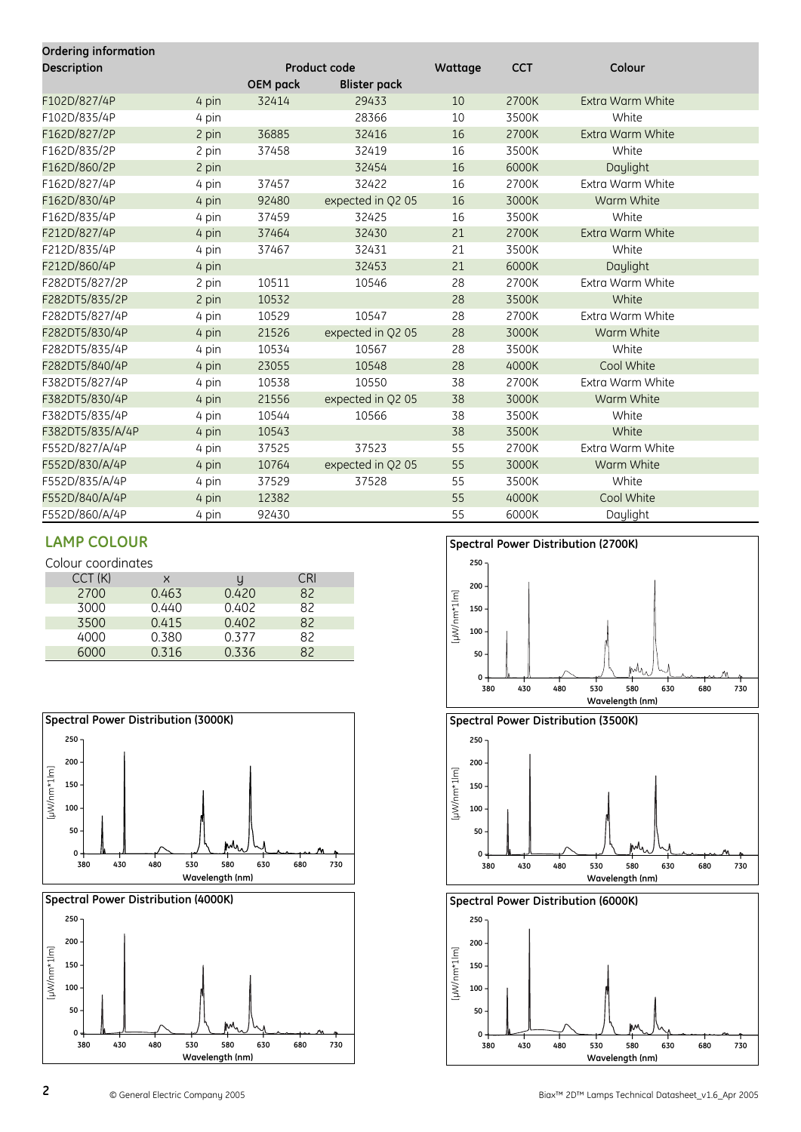| <b>Ordering information</b> |       |          |                     |         |            |                  |  |
|-----------------------------|-------|----------|---------------------|---------|------------|------------------|--|
| <b>Description</b>          |       |          | <b>Product code</b> | Wattage | <b>CCT</b> | Colour           |  |
|                             |       | OEM pack | <b>Blister pack</b> |         |            |                  |  |
| F102D/827/4P                | 4 pin | 32414    | 29433               | 10      | 2700K      | Extra Warm White |  |
| F102D/835/4P                | 4 pin |          | 28366               | 10      | 3500K      | White            |  |
| F162D/827/2P                | 2 pin | 36885    | 32416               | 16      | 2700K      | Extra Warm White |  |
| F162D/835/2P                | 2 pin | 37458    | 32419               | 16      | 3500K      | White            |  |
| F162D/860/2P                | 2 pin |          | 32454               | 16      | 6000K      | Daylight         |  |
| F162D/827/4P                | 4 pin | 37457    | 32422               | 16      | 2700K      | Extra Warm White |  |
| F162D/830/4P                | 4 pin | 92480    | expected in Q2 05   | 16      | 3000K      | Warm White       |  |
| F162D/835/4P                | 4 pin | 37459    | 32425               | 16      | 3500K      | White            |  |
| F212D/827/4P                | 4 pin | 37464    | 32430               | 21      | 2700K      | Extra Warm White |  |
| F212D/835/4P                | 4 pin | 37467    | 32431               | 21      | 3500K      | White            |  |
| F212D/860/4P                | 4 pin |          | 32453               | 21      | 6000K      | Daylight         |  |
| F282DT5/827/2P              | 2 pin | 10511    | 10546               | 28      | 2700K      | Extra Warm White |  |
| F282DT5/835/2P              | 2 pin | 10532    |                     | 28      | 3500K      | White            |  |
| F282DT5/827/4P              | 4 pin | 10529    | 10547               | 28      | 2700K      | Extra Warm White |  |
| F282DT5/830/4P              | 4 pin | 21526    | expected in Q2 05   | 28      | 3000K      | Warm White       |  |
| F282DT5/835/4P              | 4 pin | 10534    | 10567               | 28      | 3500K      | White            |  |
| F282DT5/840/4P              | 4 pin | 23055    | 10548               | 28      | 4000K      | Cool White       |  |
| F382DT5/827/4P              | 4 pin | 10538    | 10550               | 38      | 2700K      | Extra Warm White |  |
| F382DT5/830/4P              | 4 pin | 21556    | expected in Q2 05   | 38      | 3000K      | Warm White       |  |
| F382DT5/835/4P              | 4 pin | 10544    | 10566               | 38      | 3500K      | White            |  |
| F382DT5/835/A/4P            | 4 pin | 10543    |                     | 38      | 3500K      | White            |  |
| F552D/827/A/4P              | 4 pin | 37525    | 37523               | 55      | 2700K      | Extra Warm White |  |
| F552D/830/A/4P              | 4 pin | 10764    | expected in Q2 05   | 55      | 3000K      | Warm White       |  |
| F552D/835/A/4P              | 4 pin | 37529    | 37528               | 55      | 3500K      | White            |  |
| F552D/840/A/4P              | 4 pin | 12382    |                     | 55      | 4000K      | Cool White       |  |
| F552D/860/A/4P              | 4 pin | 92430    |                     | 55      | 6000K      | Daylight         |  |

Colour coordinates

| CCT(K) | x     |       | CRI |
|--------|-------|-------|-----|
| 2700   | 0.463 | 0.420 | 82  |
| 3000   | 0.440 | 0.402 | 82  |
| 3500   | 0.415 | 0.402 | 82  |
| 4000   | 0.380 | 0.377 | 82  |
| 6000   | 0.316 | 0.336 | 82  |











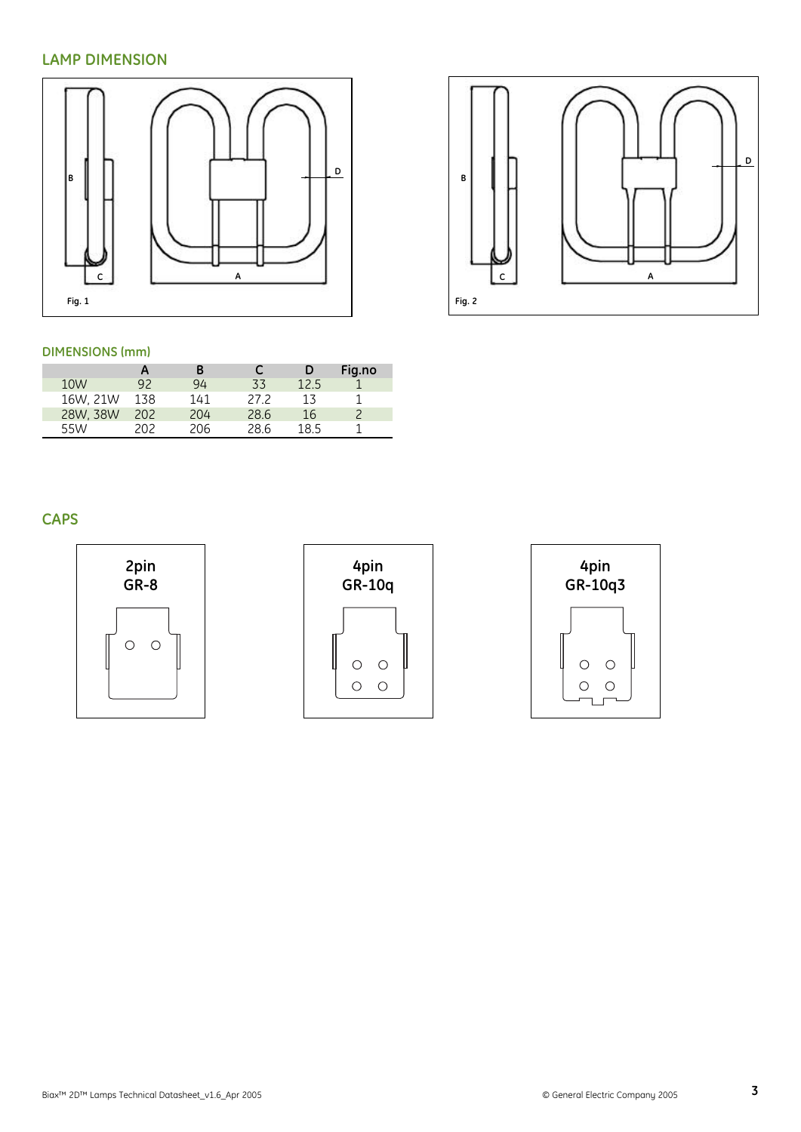#### **LAMP DIMENSION**



#### **DIMENSIONS (mm)**

|          | Α    | В   |      | D    | Fig.no |
|----------|------|-----|------|------|--------|
| 10W      | 92   | 94  | 33   | 12.5 |        |
| 16W. 21W | 138  | 141 | 27.2 | 13   |        |
| 28W, 38W | 202  | 204 | 28.6 | 16   |        |
| 55W      | 202. | 206 | 28.6 | 18.5 |        |

#### **CAPS**







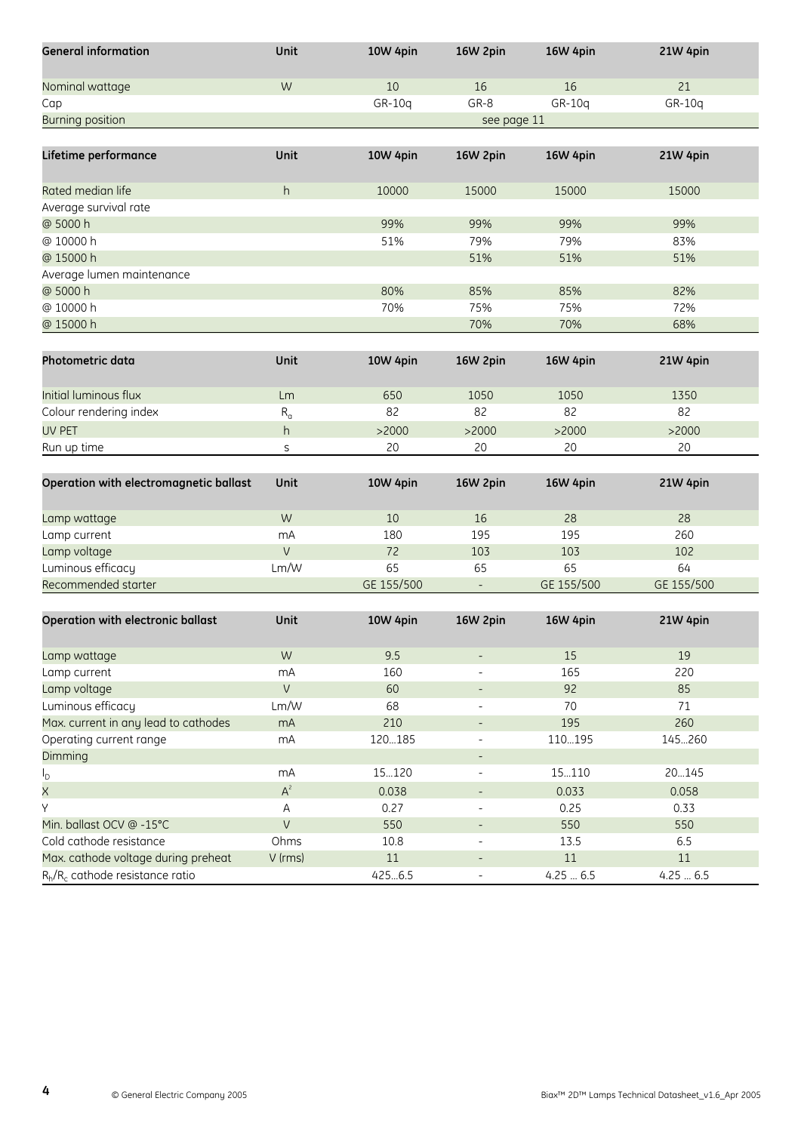| <b>General information</b>             | Unit                      | 10W 4pin   | 16W 2pin                 | 16W 4pin   | 21W 4pin        |
|----------------------------------------|---------------------------|------------|--------------------------|------------|-----------------|
| Nominal wattage                        | W                         | 10         | 16                       | 16         | 21              |
| Cap                                    |                           | GR-10q     | GR-8                     | GR-10q     | GR-10q          |
| <b>Burning position</b>                |                           |            | see page 11              |            |                 |
|                                        |                           |            |                          |            |                 |
| Lifetime performance                   | Unit                      | 10W 4pin   | 16W 2pin                 | 16W 4pin   | 21W 4pin        |
| Rated median life                      | h                         | 10000      | 15000                    | 15000      | 15000           |
| Average survival rate                  |                           |            |                          |            |                 |
| @ 5000 h                               |                           | 99%        | 99%                      | 99%        | 99%             |
| @ 10000 h                              |                           | 51%        | 79%                      | 79%        | 83%             |
| @ 15000 h                              |                           |            | 51%                      | 51%        | 51%             |
| Average lumen maintenance              |                           |            |                          |            |                 |
| @ 5000 h                               |                           | 80%        | 85%                      | 85%        | 82%             |
| @ 10000 h                              |                           | 70%        | 75%                      | 75%        | 72%             |
| @ 15000 h                              |                           |            | 70%                      | 70%        | 68%             |
|                                        |                           |            |                          |            |                 |
| Photometric data                       | Unit                      | 10W 4pin   | 16W 2pin                 | 16W 4pin   | 21W 4pin        |
| Initial luminous flux                  | Lm                        | 650        | 1050                     | 1050       | 1350            |
| Colour rendering index                 | $\mathsf{R}_{\mathsf{a}}$ | 82         | 82                       | 82         | 82              |
| <b>UV PET</b>                          | h                         | >2000      | >2000                    | >2000      | >2000           |
| Run up time                            | S                         | 20         | 20                       | 20         | 20              |
|                                        |                           |            |                          |            |                 |
| Operation with electromagnetic ballast | Unit                      | 10W 4pin   | 16W 2pin                 | 16W 4pin   | 21W 4pin        |
| Lamp wattage                           | W                         | 10         | 16                       | 28         | 28              |
| Lamp current                           | mA                        | 180        | 195                      | 195        | 260             |
| Lamp voltage                           | $\vee$                    | 72         | 103                      | 103        | 102             |
| Luminous efficacy                      | Lm/W                      | 65         | 65                       | 65         | 64              |
| Recommended starter                    |                           | GE 155/500 | $\overline{\phantom{a}}$ | GE 155/500 | GE 155/500      |
|                                        |                           |            |                          |            |                 |
| Operation with electronic ballast      | Unit                      | 10W 4pin   | 16W 2pin                 | 16W 4pin   | <b>21W 4pin</b> |
| Lamp wattage                           | W                         | 9.5        | $\overline{\phantom{a}}$ | 15         | 19              |
| Lamp current                           | mA                        | 160        |                          | 165        | 220             |
| Lamp voltage                           | $\vee$                    | 60         | $\overline{\phantom{a}}$ | 92         | 85              |
| Luminous efficacy                      | Lm/W                      | 68         | $\overline{\phantom{0}}$ | 70         | 71              |
| Max. current in any lead to cathodes   | mA                        | 210        | $\overline{\phantom{a}}$ | 195        | 260             |
| Operating current range                | mA                        | 120185     |                          | 110195     | 145260          |
| Dimming                                |                           |            | $\overline{\phantom{a}}$ |            |                 |
| $I_{\mathsf{D}}$                       | mA                        | 15120      | $\overline{\phantom{0}}$ | 15110      | 20145           |
| $\overline{\mathsf{x}}$                | $\mathsf{A}^z$            | 0.038      | $\overline{\phantom{a}}$ | 0.033      | 0.058           |
| Υ                                      | Α                         | 0.27       | $\overline{\phantom{a}}$ | 0.25       | 0.33            |
| Min. ballast OCV @ -15°C               | $\lor$                    | 550        | $\overline{\phantom{a}}$ | 550        | 550             |
| Cold cathode resistance                | Ohms                      | 10.8       | $\overline{\phantom{a}}$ | 13.5       | 6.5             |
| Max. cathode voltage during preheat    | V (rms)                   | $11\,$     | $\overline{\phantom{a}}$ | 11         | 11              |
|                                        |                           |            |                          |            |                 |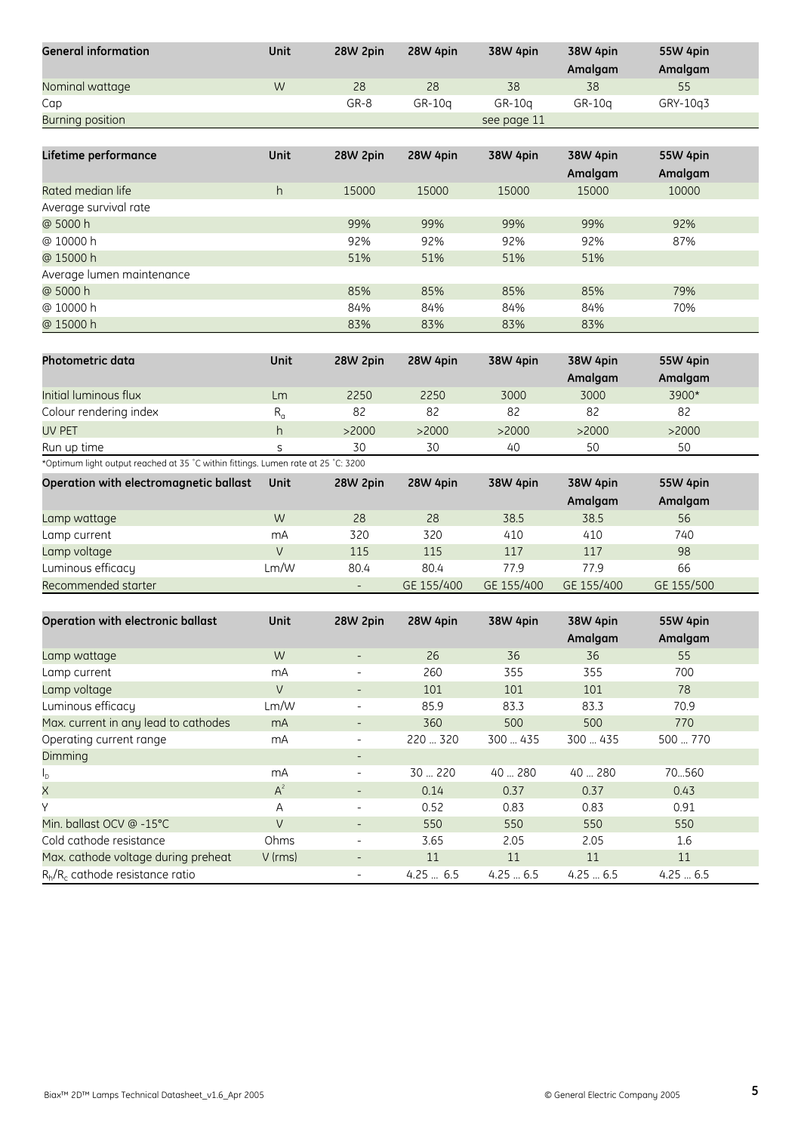| <b>General information</b>                                                        | Unit         | 28W 2pin                                             | <b>28W 4pin</b> | 38W 4pin          | 38W 4pin          | 55W 4pin          |
|-----------------------------------------------------------------------------------|--------------|------------------------------------------------------|-----------------|-------------------|-------------------|-------------------|
|                                                                                   |              |                                                      |                 |                   | Amalgam           | Amalgam           |
| Nominal wattage                                                                   | W            | 28                                                   | 28              | 38                | 38                | 55                |
| Cap                                                                               |              | GR-8                                                 | GR-10q          | GR-10q            | GR-10q            | GRY-10q3          |
| <b>Burning position</b>                                                           |              |                                                      |                 | see page 11       |                   |                   |
|                                                                                   |              |                                                      |                 |                   |                   |                   |
| Lifetime performance                                                              | Unit         | 28W 2pin                                             | <b>28W 4pin</b> | 38W 4pin          | <b>38W 4pin</b>   | 55W 4pin          |
|                                                                                   |              |                                                      |                 |                   | Amalgam           | Amalgam           |
| Rated median life                                                                 | h            | 15000                                                | 15000           | 15000             | 15000             | 10000             |
| Average survival rate                                                             |              |                                                      |                 |                   |                   |                   |
| @ 5000 h                                                                          |              | 99%                                                  | 99%             | 99%               | 99%               | 92%               |
| @ 10000 h                                                                         |              | 92%                                                  | 92%             | 92%               | 92%               | 87%               |
| @ 15000 h                                                                         |              | 51%                                                  | 51%             | 51%               | 51%               |                   |
| Average lumen maintenance                                                         |              |                                                      |                 |                   |                   |                   |
| @ 5000 h                                                                          |              | 85%                                                  | 85%             | 85%               | 85%               | 79%               |
| @ 10000 h                                                                         |              | 84%                                                  | 84%             | 84%               | 84%               | 70%               |
| @ 15000 h                                                                         |              | 83%                                                  | 83%             | 83%               | 83%               |                   |
|                                                                                   |              |                                                      |                 |                   |                   |                   |
| Photometric data                                                                  | Unit         | 28W 2pin                                             | 28W 4pin        | 38W 4pin          | 38W 4pin          | 55W 4pin          |
|                                                                                   |              |                                                      |                 |                   | Amalgam           | Amalgam           |
| Initial luminous flux                                                             | Lm           | 2250                                                 | 2250            | 3000              | 3000              | 3900*             |
| Colour rendering index                                                            | $R_{\alpha}$ | 82                                                   | 82              | 82                | 82                | 82                |
| <b>UV PET</b>                                                                     | h            | >2000                                                | >2000           | >2000             | >2000             | >2000             |
| Run up time                                                                       | S            | 30                                                   | 30              | 40                | 50                | 50                |
| *Optimum light output reached at 35 °C within fittings. Lumen rate at 25 °C: 3200 |              |                                                      |                 |                   |                   |                   |
|                                                                                   |              |                                                      |                 |                   |                   |                   |
|                                                                                   |              |                                                      |                 |                   |                   |                   |
| Operation with electromagnetic ballast                                            | Unit         | 28W 2pin                                             | 28W 4pin        | 38W 4pin          | 38W 4pin          | 55W 4pin          |
|                                                                                   |              |                                                      |                 |                   | Amalgam           | Amalgam           |
| Lamp wattage                                                                      | W            | 28                                                   | 28              | 38.5              | 38.5              | 56                |
| Lamp current                                                                      | mA           | 320                                                  | 320             | 410               | 410               | 740               |
| Lamp voltage                                                                      | V            | 115                                                  | 115             | 117               | 117               | 98                |
| Luminous efficacy                                                                 | Lm/W         | 80.4<br>$\overline{\phantom{a}}$                     | 80.4            | 77.9              | 77.9              | 66                |
| Recommended starter                                                               |              |                                                      | GE 155/400      | GE 155/400        | GE 155/400        | GE 155/500        |
|                                                                                   |              |                                                      |                 |                   |                   |                   |
| Operation with electronic ballast                                                 | Unit         | 28W 2pin                                             | 28W 4pin        | 38W 4pin          | 38W 4pin          | 55W 4pin          |
|                                                                                   |              |                                                      |                 |                   | Amalgam           | Amalgam           |
| Lamp wattage                                                                      | W            | $\overline{\phantom{a}}$                             | 26              | 36                | 36                | 55                |
| Lamp current                                                                      | mA           | -                                                    | 260             | 355               | 355               | 700               |
| Lamp voltage                                                                      | $\vee$       | $\overline{\phantom{a}}$                             | 101             | 101               | 101               | 78                |
| Luminous efficacy                                                                 | Lm/W         | $\overline{\phantom{0}}$                             | 85.9            | 83.3              | 83.3              | 70.9              |
| Max. current in any lead to cathodes                                              | mA           | $\overline{\phantom{a}}$                             | 360             | 500               | 500               | 770               |
| Operating current range                                                           | mA           | $\overline{\phantom{a}}$                             | 220  320        | 300  435          | 300  435          | 500  770          |
| Dimming                                                                           |              | $\overline{\phantom{a}}$                             |                 |                   |                   |                   |
| $I_{\text{D}}$                                                                    | mA           | $\overline{\phantom{a}}$                             | 30  220         | 40  280           | 40  280           | 70560             |
| $\times$                                                                          | $A^2$        | $\overline{\phantom{a}}$                             | 0.14            | 0.37              | 0.37              | 0.43              |
| Υ                                                                                 | Α            | $\overline{\phantom{a}}$                             | 0.52            | 0.83              | 0.83              | 0.91              |
| Min. ballast OCV @ -15°C                                                          | $\vee$       | $\overline{\phantom{a}}$                             | 550             | 550               | 550               | 550               |
| Cold cathode resistance                                                           | Ohms         | $\blacksquare$                                       | 3.65            | 2.05              | 2.05              | 1.6               |
| Max. cathode voltage during preheat<br>$R_h/R_c$ cathode resistance ratio         | V (rms)      | $\overline{\phantom{a}}$<br>$\overline{\phantom{a}}$ | 11<br>4.25 6.5  | $11\,$<br>4.256.5 | $11\,$<br>4.256.5 | $11\,$<br>4.256.5 |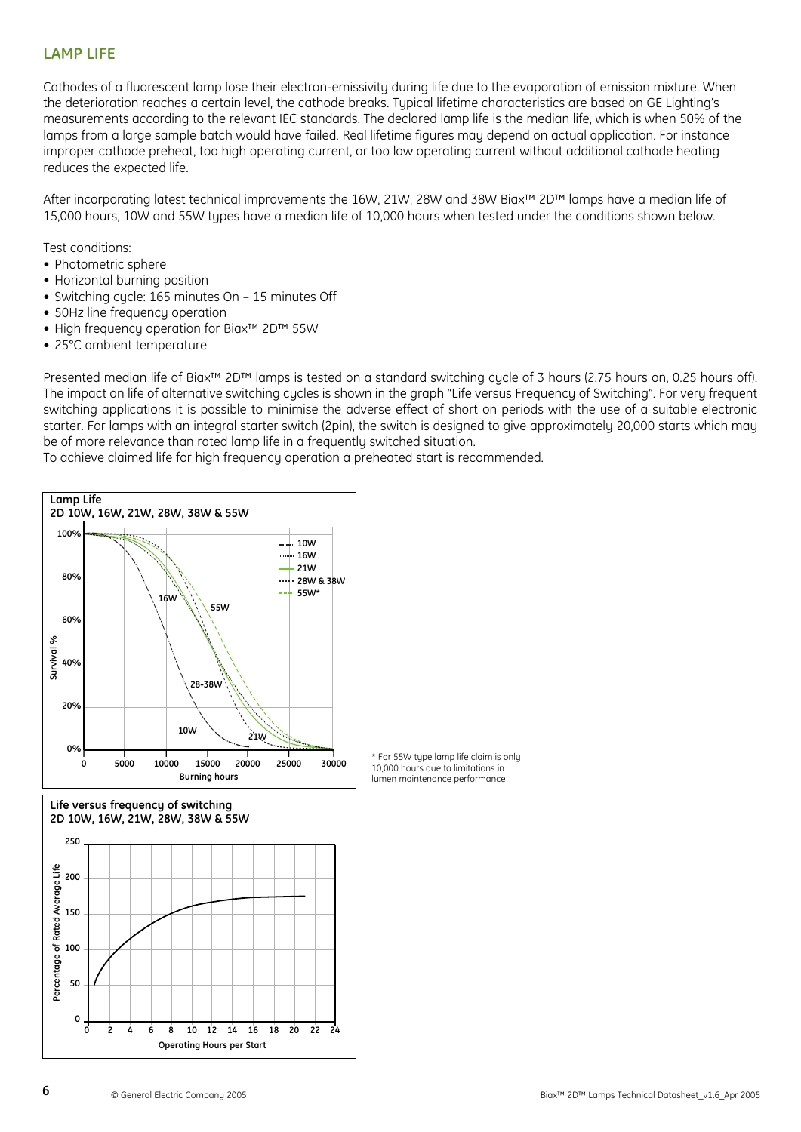#### **LAMP LIFE**

Cathodes of a fluorescent lamp lose their electron-emissivity during life due to the evaporation of emission mixture. When the deterioration reaches a certain level, the cathode breaks. Typical lifetime characteristics are based on GE Lighting's measurements according to the relevant IEC standards. The declared lamp life is the median life, which is when 50% of the lamps from a large sample batch would have failed. Real lifetime figures may depend on actual application. For instance improper cathode preheat, too high operating current, or too low operating current without additional cathode heating reduces the expected life.

After incorporating latest technical improvements the 16W, 21W, 28W and 38W Biax™ 2D™ lamps have a median life of 15,000 hours, 10W and 55W types have a median life of 10,000 hours when tested under the conditions shown below.

Test conditions:

- Photometric sphere
- Horizontal burning position
- Switching cycle: 165 minutes On 15 minutes Off
- 50Hz line frequency operation
- High frequency operation for Biax™ 2D™ 55W
- 25°C ambient temperature

Presented median life of Biax<sup>™</sup> 2D™ lamps is tested on a standard switching cycle of 3 hours (2.75 hours on, 0.25 hours off). The impact on life of alternative switching cucles is shown in the graph "Life versus Frequency of Switching". For very frequent switching applications it is possible to minimise the adverse effect of short on periods with the use of a suitable electronic starter. For lamps with an integral starter switch (2pin), the switch is designed to give approximately 20,000 starts which may be of more relevance than rated lamp life in a frequently switched situation.

To achieve claimed life for high frequency operation a preheated start is recommended.

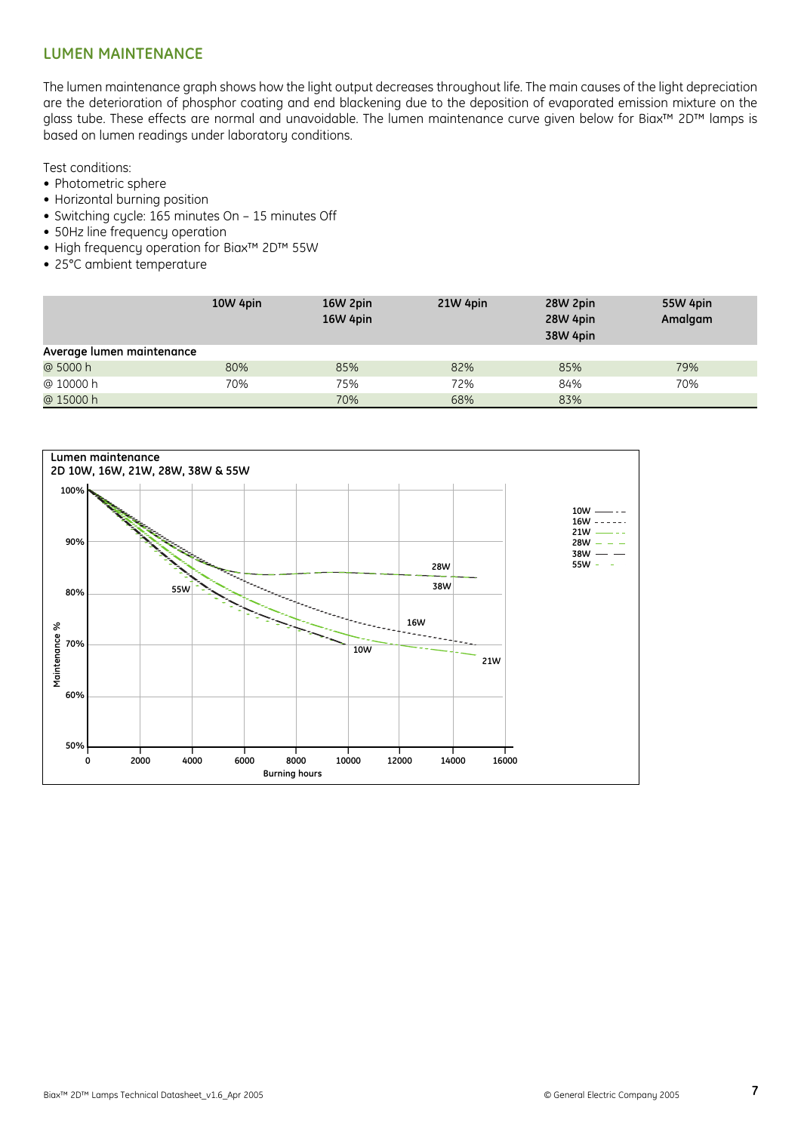#### **LUMEN MAINTENANCE**

The lumen maintenance graph shows how the light output decreases throughout life. The main causes of the light depreciation are the deterioration of phosphor coating and end blackening due to the deposition of evaporated emission mixture on the glass tube. These effects are normal and unavoidable. The lumen maintenance curve given below for Biax™ 2D™ lamps is based on lumen readings under laboratory conditions.

Test conditions:

- Photometric sphere
- Horizontal burning position
- Switching cycle: 165 minutes On 15 minutes Off
- 50Hz line frequency operation
- High frequency operation for Biax™ 2D™ 55W
- 25°C ambient temperature

|                           | 10W 4pin | 16W 2pin<br>16W 4pin | 21W 4pin | 28W 2pin<br>28W 4pin | 55W 4pin<br>Amalgam |
|---------------------------|----------|----------------------|----------|----------------------|---------------------|
|                           |          |                      |          | 38W 4pin             |                     |
| Average lumen maintenance |          |                      |          |                      |                     |
| @ 5000 h                  | 80%      | 85%                  | 82%      | 85%                  | 79%                 |
| @ 10000 h                 | 70%      | 75%                  | 72%      | 84%                  | 70%                 |
| @ 15000 h                 |          | 70%                  | 68%      | 83%                  |                     |

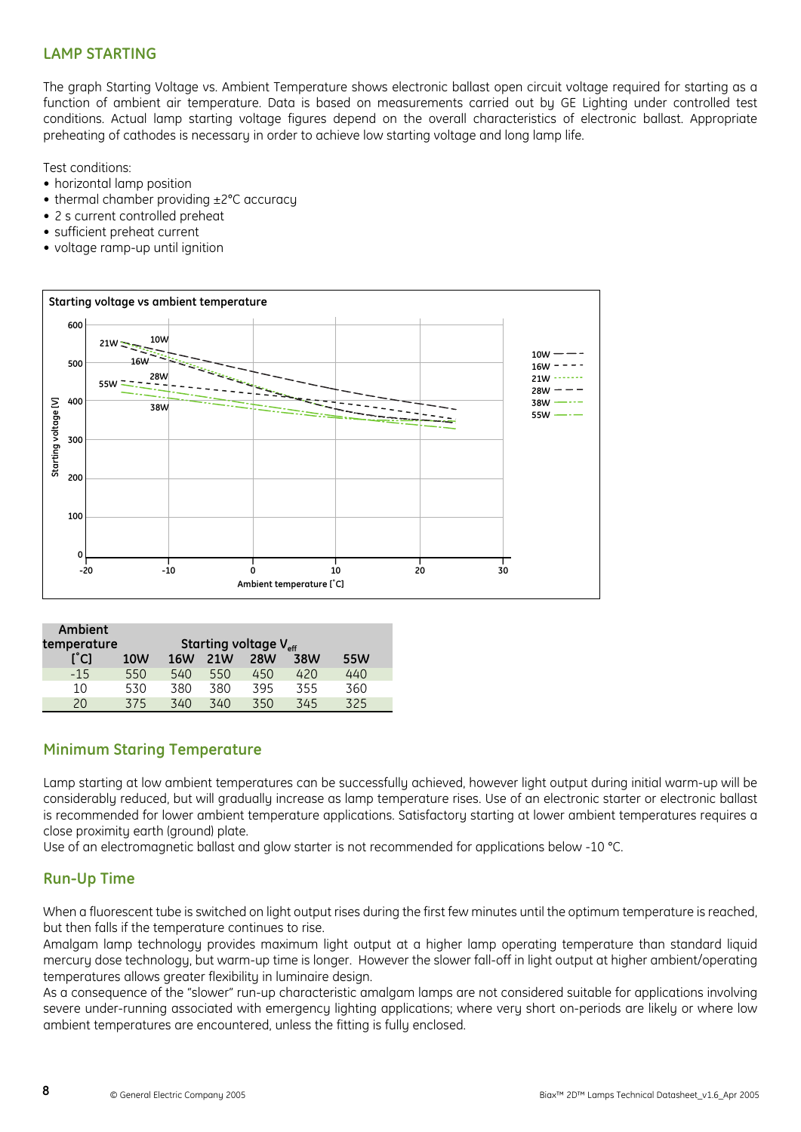#### **LAMP STARTING**

The graph Starting Voltage vs. Ambient Temperature shows electronic ballast open circuit voltage required for starting as a function of ambient air temperature. Data is based on measurements carried out by GE Lighting under controlled test conditions. Actual lamp starting voltage figures depend on the overall characteristics of electronic ballast. Appropriate preheating of cathodes is necessary in order to achieve low starting voltage and long lamp life.

Test conditions:

- horizontal lamp position
- thermal chamber providing ±2°C accuracy
- 2 s current controlled preheat
- sufficient preheat current
- voltage ramp-up until ignition



| Ambient       |                                   |            |     |            |     |     |
|---------------|-----------------------------------|------------|-----|------------|-----|-----|
| temperature   | Starting voltage V <sub>eff</sub> |            |     |            |     |     |
| $[^{\circ}C]$ | 10W                               | <b>16W</b> | 21W | <b>28W</b> | 38W | 55W |
| $-15$         | 550                               | 540        | 550 | 450        | 420 | 440 |
| $10 \,$       | 530                               | 380        | 380 | 395        | 355 | 360 |
| 20            | 375                               | 340        | 340 | 350        | 345 | 325 |

#### **Minimum Staring Temperature**

Lamp starting at low ambient temperatures can be successfully achieved, however light output during initial warm-up will be considerably reduced, but will gradually increase as lamp temperature rises. Use of an electronic starter or electronic ballast is recommended for lower ambient temperature applications. Satisfactory starting at lower ambient temperatures requires a close proximity earth (ground) plate.

Use of an electromagnetic ballast and glow starter is not recommended for applications below -10 °C.

#### **Run-Up Time**

When a fluorescent tube is switched on light output rises during the first few minutes until the optimum temperature is reached, but then falls if the temperature continues to rise.

Amalgam lamp technology provides maximum light output at a higher lamp operating temperature than standard liquid mercury dose technology, but warm-up time is longer. However the slower fall-off in light output at higher ambient/operating temperatures allows greater flexibility in luminaire design.

As a consequence of the "slower" run-up characteristic amalgam lamps are not considered suitable for applications involving severe under-running associated with emergency lighting applications; where very short on-periods are likely or where low ambient temperatures are encountered, unless the fitting is fully enclosed.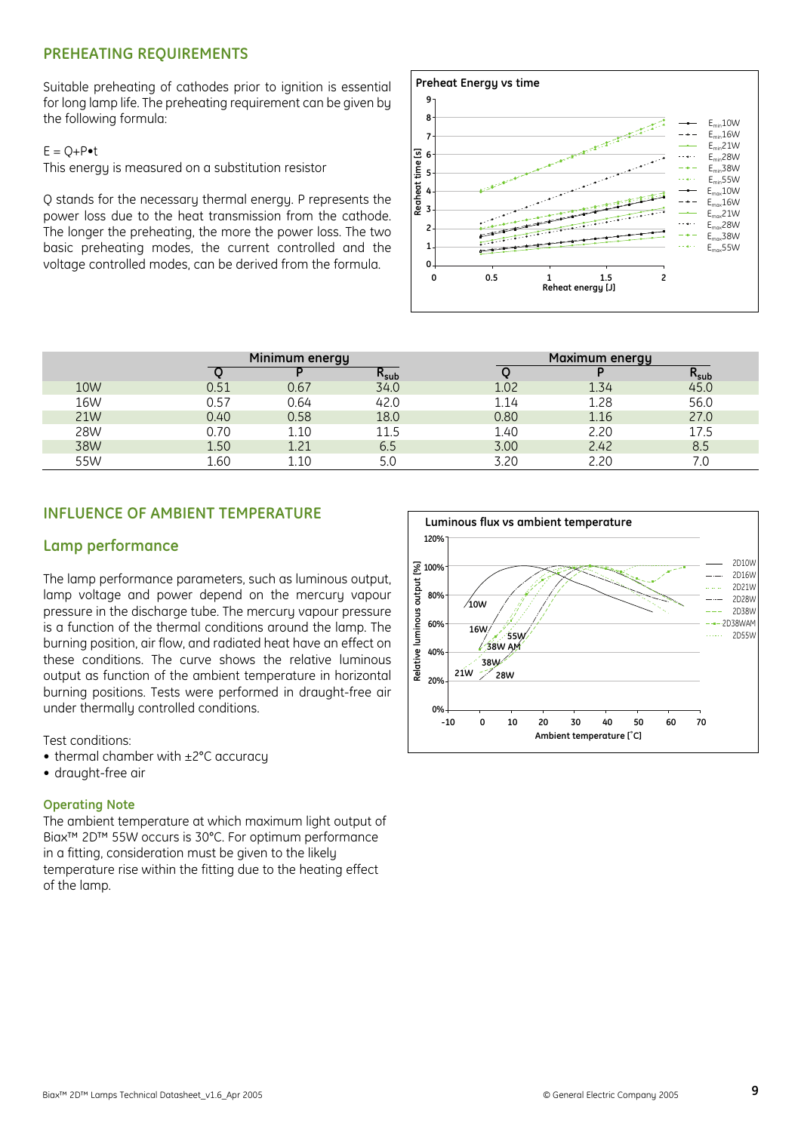#### **PREHEATING REQUIREMENTS**

Suitable preheating of cathodes prior to ignition is essential for long lamp life. The preheating requirement can be given by the following formula:

#### $E = O + P \cdot t$



| $L = U + V \bullet U$<br>This energy is measured on a substitution resistor<br>Q stands for the necessary thermal energy. P represents the<br>power loss due to the heat transmission from the cathode.<br>The longer the preheating, the more the power loss. The two<br>basic preheating modes, the current controlled and the<br>voltage controlled modes, can be derived from the formula. |      |                |           | ල ල<br>time<br>5<br>Reaheat<br>4<br>3<br>0-<br>0 | 0.5  | 1.5<br>Reheat energy [J] | $E_{min}$ 28W<br>$E_{min}$ 38W<br>$E_{min}$ 55W<br>$E_{\text{max}}$ 10W<br>$E_{\text{max}}16W$<br>$E_{\rm max}$ 21W<br>$E_{\text{max}}$ 28W<br>$E_{\text{max}}$ 38W<br>$E_{\text{max}}$ 55W |
|------------------------------------------------------------------------------------------------------------------------------------------------------------------------------------------------------------------------------------------------------------------------------------------------------------------------------------------------------------------------------------------------|------|----------------|-----------|--------------------------------------------------|------|--------------------------|---------------------------------------------------------------------------------------------------------------------------------------------------------------------------------------------|
|                                                                                                                                                                                                                                                                                                                                                                                                |      |                |           |                                                  |      |                          |                                                                                                                                                                                             |
|                                                                                                                                                                                                                                                                                                                                                                                                |      | Minimum energy |           |                                                  |      | Maximum energy           |                                                                                                                                                                                             |
|                                                                                                                                                                                                                                                                                                                                                                                                | ্    | P              | $R_{sub}$ |                                                  | Q    | P                        | $R_{sub}$                                                                                                                                                                                   |
| <b>10W</b>                                                                                                                                                                                                                                                                                                                                                                                     | 0.51 | 0.67           | 34.0      |                                                  | 1.02 | 1.34                     | 45.0                                                                                                                                                                                        |
| 16W                                                                                                                                                                                                                                                                                                                                                                                            | 0.57 | 0.64           | 42.0      |                                                  | 1.14 | 1.28                     | 56.0                                                                                                                                                                                        |
| 21W                                                                                                                                                                                                                                                                                                                                                                                            | 0.40 | 0.58           | 18.0      |                                                  | 0.80 | 1.16                     | 27.0                                                                                                                                                                                        |
| 28W                                                                                                                                                                                                                                                                                                                                                                                            | 0.70 | 1.10           | 11.5      |                                                  | 1.40 | 2.20                     | 17.5                                                                                                                                                                                        |
| 38W                                                                                                                                                                                                                                                                                                                                                                                            | 1.50 | 1.21           | 6.5       |                                                  | 3.00 | 2.42                     | 8.5                                                                                                                                                                                         |
| 55W                                                                                                                                                                                                                                                                                                                                                                                            | 1.60 | 1.10           | 5.0       |                                                  | 3.20 | 2.20                     | 7.0                                                                                                                                                                                         |

#### **INFLUENCE OF AMBIENT TEMPERATURE**

#### **Lamp performance**

The lamp performance parameters, such as luminous output, lamp voltage and power depend on the mercury vapour pressure in the discharge tube. The mercury vapour pressure is a function of the thermal conditions around the lamp. The burning position, air flow, and radiated heat have an effect on these conditions. The curve shows the relative luminous output as function of the ambient temperature in horizontal burning positions. Tests were performed in draught-free air under thermally controlled conditions.

Test conditions:

- thermal chamber with ±2°C accuracy
- draught-free air

#### **Operating Note**

The ambient temperature at which maximum light output of Biax™ 2D™ 55W occurs is 30°C. For optimum performance in a fitting, consideration must be given to the likely temperature rise within the fitting due to the heating effect of the lamp.

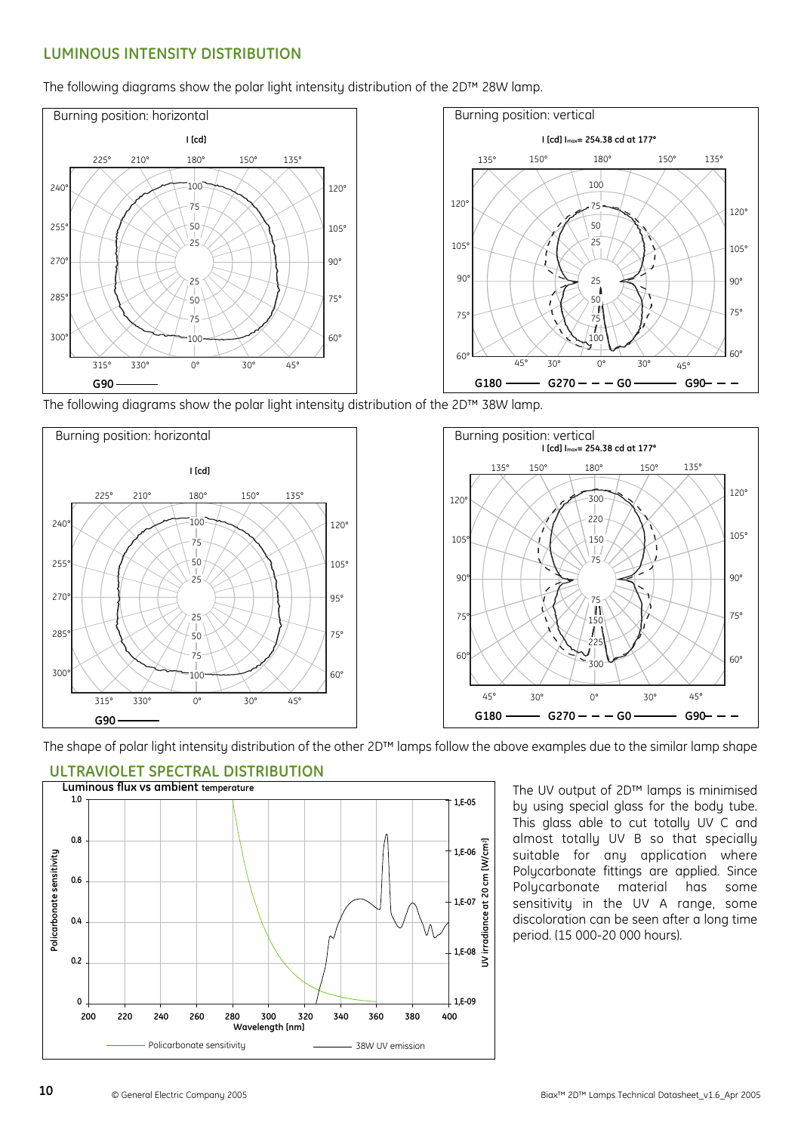#### **LUMINOUS INTENSITY DISTRIBUTION**

The following diagrams show the polar light intensity distribution of the 2D™ 28W lamp.



The following diagrams show the polar light intensity distribution of the 2D™ 38W lamp.





The shape of polar light intensity distribution of the other 2D™ lamps follow the above examples due to the similar lamp shape



#### **ULTRAVIOLET SPECTRAL DISTRIBUTION**

The UV output of 2D™ lamps is minimised by using special glass for the body tube. This glass able to cut totally UV C and almost totally UV B so that specially suitable for any application where Polycarbonate fittings are applied. Since Polycarbonate material has some sensitivity in the UV A range, some discoloration can be seen after a long time period. (15 000-20 000 hours).

**10**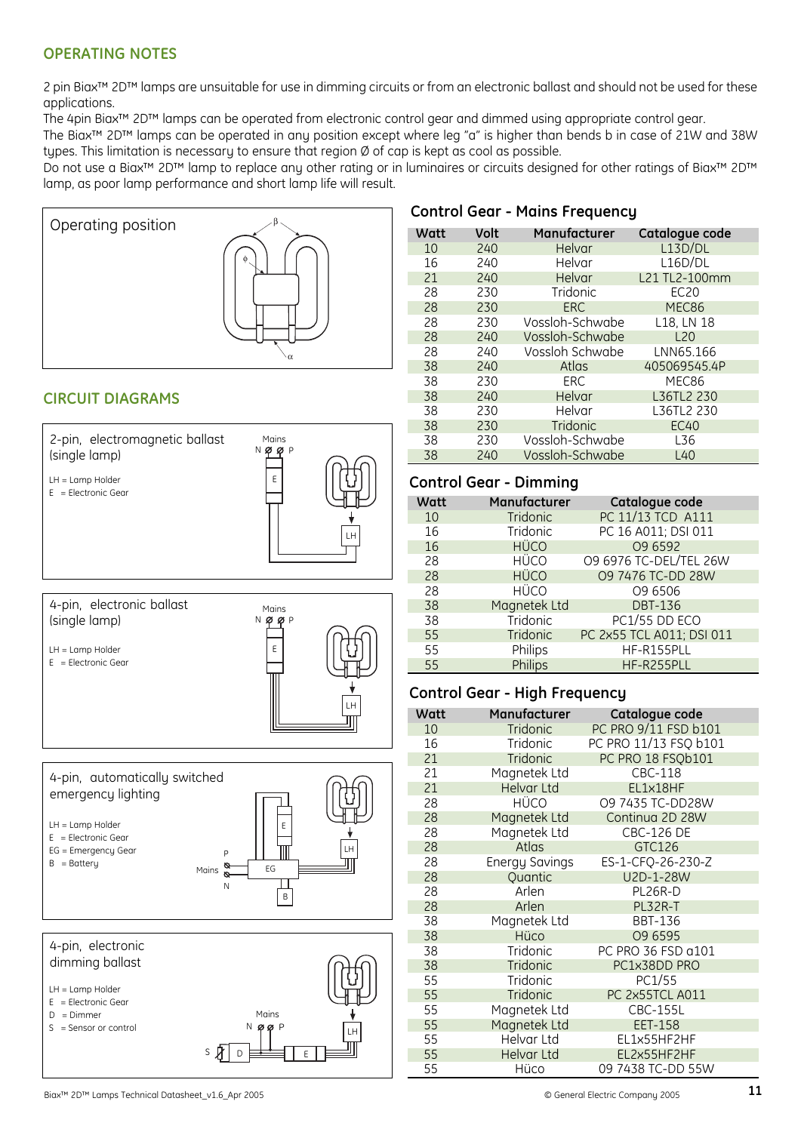#### **OPERATING NOTES**

2 pin Biax™ 2D™ lamps are unsuitable for use in dimming circuits or from an electronic ballast and should not be used for these applications.

The 4pin Biax™ 2D™ lamps can be operated from electronic control gear and dimmed using appropriate control gear.

The Biax™ 2D™ lamps can be operated in any position except where leg "a" is higher than bends b in case of 21W and 38W types. This limitation is necessary to ensure that region Ø of cap is kept as cool as possible.

Do not use a Biax<sup>™</sup> 2D™ lamp to replace any other rating or in luminaires or circuits designed for other ratings of Biax™ 2D™ lamp, as poor lamp performance and short lamp life will result.



### **CIRCUIT DIAGRAMS**







| Watt | Volt | Manufacturer    | Catalogue code |
|------|------|-----------------|----------------|
| 10   | 240  | Helvar          | L13D/DL        |
| 16   | 240  | Helvar          | L16D/DL        |
| 21   | 240  | Helvar          | L21 TL2-100mm  |
| 28   | 230  | Tridonic        | EC20           |
| 28   | 230  | <b>ERC</b>      | MEC86          |
| 28   | 230  | Vossloh-Schwabe | L18, LN 18     |
| 28   | 240  | Vossloh-Schwabe | L20            |
| 28   | 240  | Vossloh Schwabe | LNN65.166      |
| 38   | 240  | Atlas           | 405069545.4P   |
| 38   | 230  | <b>ERC</b>      | MEC86          |
| 38   | 240  | Helvar          | L36TL2 230     |
| 38   | 230  | Helvar          | L36TL2 230     |
| 38   | 230  | Tridonic        | <b>EC40</b>    |
| 38   | 230  | Vossloh-Schwabe | L36            |
| 38   | 240  | Vossloh-Schwabe | L40            |

#### **Control Gear - Dimming**

| Watt | Manufacturer | Catalogue code            |
|------|--------------|---------------------------|
| 10   | Tridonic     | PC 11/13 TCD A111         |
| 16   | Tridonic     | PC 16 A011; DSI 011       |
| 16   | <b>HÜCO</b>  | O9 6592                   |
| 28   | <b>HÜCO</b>  | 09 6976 TC-DEL/TEL 26W    |
| 28   | <b>HÜCO</b>  | 09 7476 TC-DD 28W         |
| 28   | <b>HÜCO</b>  | O9 6506                   |
| 38   | Magnetek Ltd | <b>DBT-136</b>            |
| 38   | Tridonic     | PC1/55 DD ECO             |
| 55   | Tridonic     | PC 2x55 TCL A011; DSI 011 |
| 55   | Philips      | HF-R155PLL                |
| 55   | Philips      | HF-R255PLL                |

#### **Control Gear - High Frequency**

| Watt | Manufacturer          | Catalogue code        |
|------|-----------------------|-----------------------|
| 10   | Tridonic              | PC PRO 9/11 FSD b101  |
| 16   | Tridonic              | PC PRO 11/13 FSQ b101 |
| 21   | Tridonic              | PC PRO 18 FSQb101     |
| 21   | Magnetek Ltd          | CBC-118               |
| 21   | Helvar Ltd            | EL1x18HF              |
| 28   | HÜCO                  | O9 7435 TC-DD28W      |
| 28   | Magnetek Ltd          | Continua 2D 28W       |
| 28   | Magnetek Ltd          | <b>CBC-126 DE</b>     |
| 28   | Atlas                 | GTC126                |
| 28   | <b>Energy Savings</b> | ES-1-CFQ-26-230-Z     |
| 28   | Quantic               | U2D-1-28W             |
| 28   | Arlen                 | PL26R-D               |
| 28   | Arlen                 | PL32R-T               |
| 38   | Magnetek Ltd          | <b>BBT-136</b>        |
| 38   | Hüco                  | 09 6595               |
| 38   | Tridonic              | PC PRO 36 FSD a101    |
| 38   | Tridonic              | PC1x38DD PRO          |
| 55   | Tridonic              | PC1/55                |
| 55   | Tridonic              | PC 2x55TCL A011       |
| 55   | Magnetek Ltd          | <b>CBC-155L</b>       |
| 55   | Magnetek Ltd          | EET-158               |
| 55   | Helvar Ltd            | EL1x55HF2HF           |
| 55   | <b>Helvar Ltd</b>     | EL2x55HF2HF           |
| 55   | Hüco                  | 09 7438 TC-DD 55W     |